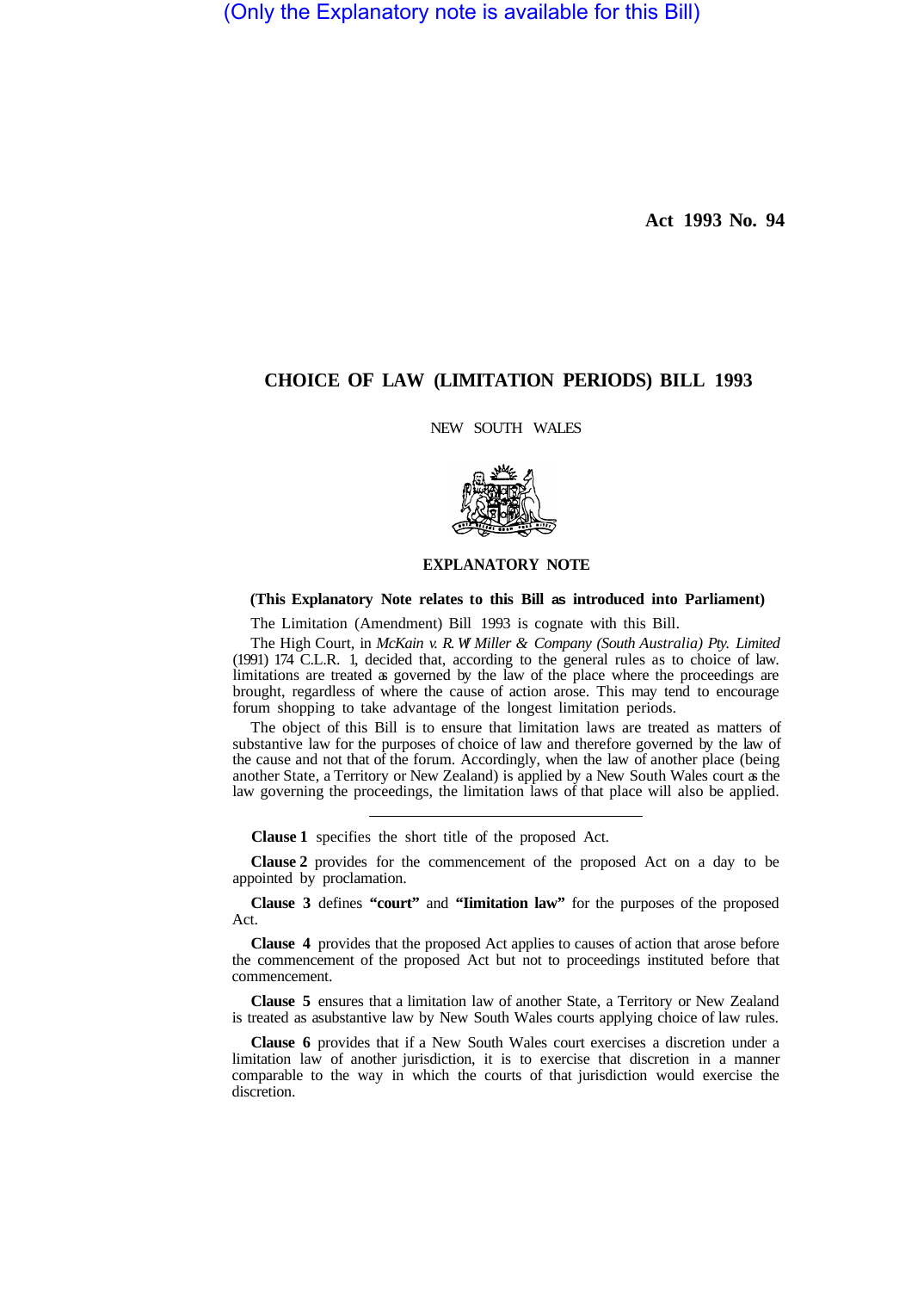(Only the Explanatory note is available for this Bill)

**Act 1993 No. 94** 

## **CHOICE OF LAW (LIMITATION PERIODS) BILL 1993**

NEW SOUTH WALES



## **EXPLANATORY NOTE**

## **(This Explanatory Note relates to this Bill as introduced into Parliament)**

The Limitation (Amendment) Bill 1993 is cognate with this Bill.

The High Court, in *McKain v. R. W! Miller & Company (South Australia) Pty. Limited*  (1991) 174 C.L.R. 1, decided that, according to the general rules as to choice of law. limitations are treated as governed by the law of the place where the proceedings are brought, regardless of where the cause of action arose. This may tend to encourage forum shopping to take advantage of the longest limitation periods.

The object of this Bill is to ensure that limitation laws are treated as matters of substantive law for the purposes of choice of law and therefore governed by the law of the cause and not that of the forum. Accordingly, when the law of another place (being another State, a Territory or New Zealand) is applied by a New South Wales court as the law governing the proceedings, the limitation laws of that place will also be applied.

**Clause 1** specifies the short title of the proposed Act.

**Clause 2** provides for the commencement of the proposed Act on a day to be appointed by proclamation.

**Clause 3** defines **"court"** and **"Iimitation law"** for the purposes of the proposed Act.

**Clause 4** provides that the proposed Act applies to causes of action that arose before the commencement of the proposed Act but not to proceedings instituted before that commencement.

**Clause 5** ensures that a limitation law of another State, a Territory or New Zealand is treated as a substantive law by New South Wales courts applying choice of law rules.

**Clause 6** provides that if a New South Wales court exercises a discretion under a limitation law of another jurisdiction, it is to exercise that discretion in a manner comparable to the way in which the courts of that jurisdiction would exercise the discretion.